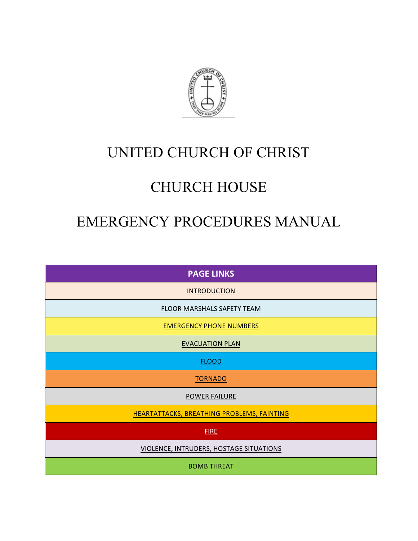

# UNITED CHURCH OF CHRIST

# CHURCH HOUSE

# EMERGENCY PROCEDURES MANUAL

| <b>PAGE LINKS</b>                          |
|--------------------------------------------|
| <b>INTRODUCTION</b>                        |
| FLOOR MARSHALS SAFETY TEAM                 |
| <b>EMERGENCY PHONE NUMBERS</b>             |
| <b>EVACUATION PLAN</b>                     |
| <b>FLOOD</b>                               |
| <b>TORNADO</b>                             |
| <b>POWER FAILURE</b>                       |
| HEARTATTACKS, BREATHING PROBLEMS, FAINTING |
| <b>FIRE</b>                                |
| VIOLENCE, INTRUDERS, HOSTAGE SITUATIONS    |
| <b>BOMB THREAT</b>                         |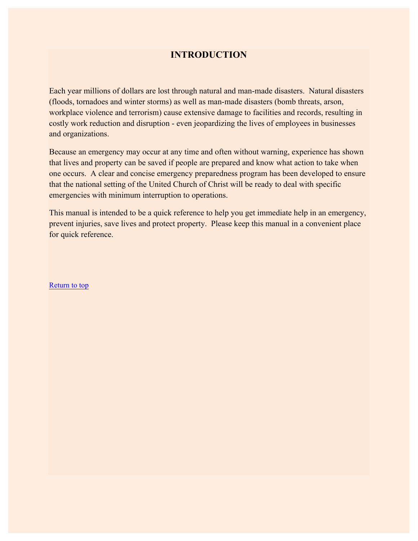## **INTRODUCTION**

Each year millions of dollars are lost through natural and man-made disasters. Natural disasters (floods, tornadoes and winter storms) as well as man-made disasters (bomb threats, arson, workplace violence and terrorism) cause extensive damage to facilities and records, resulting in costly work reduction and disruption - even jeopardizing the lives of employees in businesses and organizations.

Because an emergency may occur at any time and often without warning, experience has shown that lives and property can be saved if people are prepared and know what action to take when one occurs. A clear and concise emergency preparedness program has been developed to ensure that the national setting of the United Church of Christ will be ready to deal with specific emergencies with minimum interruption to operations.

This manual is intended to be a quick reference to help you get immediate help in an emergency, prevent injuries, save lives and protect property. Please keep this manual in a convenient place for quick reference.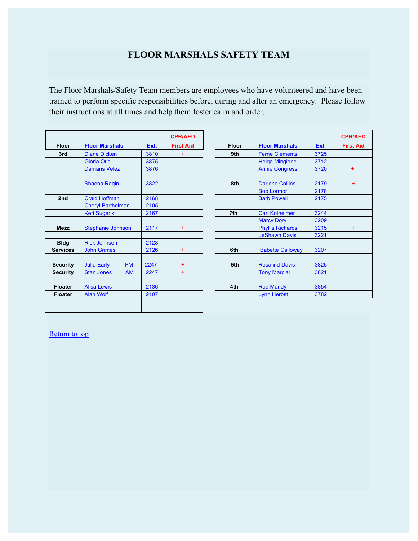## **FLOOR MARSHALS SAFETY TEAM**

The Floor Marshals/Safety Team members are employees who have volunteered and have been trained to perform specific responsibilities before, during and after an emergency. Please follow their instructions at all times and help them foster calm and order.

|                 |                                 |      | <b>CPR/AED</b>   |              |                         |      | CPR/         |  |
|-----------------|---------------------------------|------|------------------|--------------|-------------------------|------|--------------|--|
| <b>Floor</b>    | <b>Floor Marshals</b>           | Ext. | <b>First Aid</b> | <b>Floor</b> | <b>Floor Marshals</b>   | Ext. | <b>First</b> |  |
| 3rd             | <b>Diane Dicken</b>             | 3810 | $+$              | 9th          | <b>Ferne Clements</b>   | 3725 |              |  |
|                 | <b>Gloria Otis</b>              | 3875 |                  |              | <b>Helga Mingione</b>   | 3712 |              |  |
|                 | <b>Damaris Velez</b>            | 3876 |                  |              | <b>Annie Congress</b>   | 3720 |              |  |
|                 | Shaena Ragin                    | 3822 |                  | 8th          | <b>Darlene Collins</b>  | 2179 |              |  |
|                 |                                 |      |                  |              | <b>Bob Lormor</b>       | 2178 |              |  |
| 2nd             | <b>Craig Hoffman</b>            | 2168 |                  |              | <b>Barb Powell</b>      | 2175 |              |  |
|                 | <b>Cheryl Barthelman</b>        | 2105 |                  |              |                         |      |              |  |
|                 | <b>Keri Sugerik</b>             | 2167 |                  | 7th          | <b>Carl Kotheimer</b>   | 3244 |              |  |
|                 |                                 |      |                  |              | <b>Marcy Dory</b>       | 3209 |              |  |
| <b>Mezz</b>     | Stephanie Johnson               | 2117 | $+$              |              | <b>Phyllis Richards</b> | 3215 |              |  |
|                 |                                 |      |                  |              | <b>LeShawn Davis</b>    | 3221 |              |  |
| <b>Bldg</b>     | <b>Rick Johnson</b>             | 2128 |                  |              |                         |      |              |  |
| <b>Services</b> | <b>John Grimes</b>              | 2126 | $+$              | 6th          | <b>Babette Calloway</b> | 3207 |              |  |
| <b>Security</b> | <b>PM</b><br><b>Julia Early</b> | 2247 | $+$              | 5th          | <b>Rosalind Davis</b>   | 3825 |              |  |
| <b>Security</b> | <b>AM</b><br><b>Stan Jones</b>  | 2247 | $+$              |              | <b>Tony Marcial</b>     | 3821 |              |  |
| <b>Floater</b>  | <b>Alisa Lewis</b>              | 2136 |                  | 4th          | <b>Rod Mundy</b>        | 3854 |              |  |
| <b>Floater</b>  | <b>Alan Wolf</b>                | 2107 |                  |              | <b>Lynn Herbst</b>      | 3782 |              |  |

|               |                          |           |      | <b>CPR/AED</b><br><b>First Aid</b> |              |                         | Ext. |  |
|---------------|--------------------------|-----------|------|------------------------------------|--------------|-------------------------|------|--|
| <b>Floor</b>  | <b>Floor Marshals</b>    |           | Ext. |                                    | <b>Floor</b> | <b>Floor Marshals</b>   |      |  |
| 3rd           | <b>Diane Dicken</b>      |           | 3810 | $+$                                | 9th          | <b>Ferne Clements</b>   | 3725 |  |
|               | <b>Gloria Otis</b>       |           | 3875 |                                    |              | <b>Helga Mingione</b>   | 3712 |  |
|               | <b>Damaris Velez</b>     |           | 3876 |                                    |              | <b>Annie Congress</b>   | 3720 |  |
|               | <b>Shaena Ragin</b>      |           | 3822 |                                    | 8th          | <b>Darlene Collins</b>  | 2179 |  |
|               |                          |           |      |                                    |              | <b>Bob Lormor</b>       | 2178 |  |
| 2nd           | <b>Craig Hoffman</b>     |           | 2168 |                                    |              | <b>Barb Powell</b>      | 2175 |  |
|               | <b>Cheryl Barthelman</b> |           | 2105 |                                    |              |                         |      |  |
|               | <b>Keri Sugerik</b>      |           | 2167 |                                    | 7th          | <b>Carl Kotheimer</b>   | 3244 |  |
|               |                          |           |      |                                    |              | <b>Marcy Dory</b>       | 3209 |  |
| <b>Mezz</b>   | <b>Stephanie Johnson</b> |           | 2117 | $+$                                |              | <b>Phyllis Richards</b> | 3215 |  |
|               |                          |           |      |                                    |              | <b>LeShawn Davis</b>    | 3221 |  |
| <b>Bldg</b>   | <b>Rick Johnson</b>      |           | 2128 |                                    |              |                         |      |  |
| ervices       | <b>John Grimes</b>       |           | 2126 | $+$                                | 6th          | <b>Babette Calloway</b> | 3207 |  |
|               |                          |           |      |                                    |              |                         |      |  |
| ecurity       | <b>Julia Early</b>       | <b>PM</b> | 2247 | $+$                                | 5th          | <b>Rosalind Davis</b>   | 3825 |  |
| ecurity       | <b>Stan Jones</b>        | <b>AM</b> | 2247 | $+$                                |              | <b>Tony Marcial</b>     | 3821 |  |
|               |                          |           |      |                                    |              |                         |      |  |
| loater        | <b>Alisa Lewis</b>       |           | 2136 |                                    | 4th          | <b>Rod Mundy</b>        | 3854 |  |
| <b>loater</b> | <b>Alan Wolf</b>         |           | 2107 |                                    |              | <b>Lynn Herbst</b>      | 3782 |  |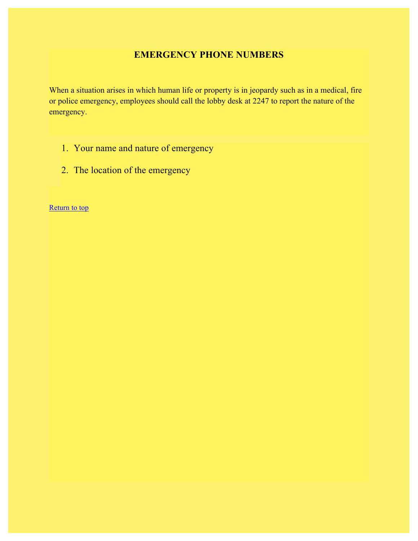## **EMERGENCY PHONE NUMBERS**

When a situation arises in which human life or property is in jeopardy such as in a medical, fire or police emergency, employees should call the lobby desk at 2247 to report the nature of the emergency.

- 1. Your name and nature of emergency
- 2. The location of the emergency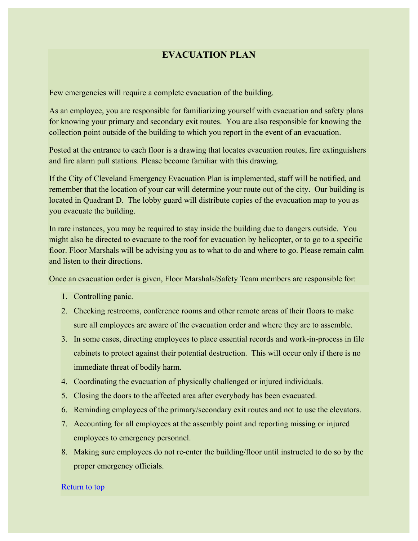## **EVACUATION PLAN**

Few emergencies will require a complete evacuation of the building.

As an employee, you are responsible for familiarizing yourself with evacuation and safety plans for knowing your primary and secondary exit routes. You are also responsible for knowing the collection point outside of the building to which you report in the event of an evacuation.

Posted at the entrance to each floor is a drawing that locates evacuation routes, fire extinguishers and fire alarm pull stations. Please become familiar with this drawing.

If the City of Cleveland Emergency Evacuation Plan is implemented, staff will be notified, and remember that the location of your car will determine your route out of the city. Our building is located in Quadrant D. The lobby guard will distribute copies of the evacuation map to you as you evacuate the building.

In rare instances, you may be required to stay inside the building due to dangers outside. You might also be directed to evacuate to the roof for evacuation by helicopter, or to go to a specific floor. Floor Marshals will be advising you as to what to do and where to go. Please remain calm and listen to their directions.

Once an evacuation order is given, Floor Marshals/Safety Team members are responsible for:

- 1. Controlling panic.
- 2. Checking restrooms, conference rooms and other remote areas of their floors to make sure all employees are aware of the evacuation order and where they are to assemble.
- 3. In some cases, directing employees to place essential records and work-in-process in file cabinets to protect against their potential destruction. This will occur only if there is no immediate threat of bodily harm.
- 4. Coordinating the evacuation of physically challenged or injured individuals.
- 5. Closing the doors to the affected area after everybody has been evacuated.
- 6. Reminding employees of the primary/secondary exit routes and not to use the elevators.
- 7. Accounting for all employees at the assembly point and reporting missing or injured employees to emergency personnel.
- 8. Making sure employees do not re-enter the building/floor until instructed to do so by the proper emergency officials.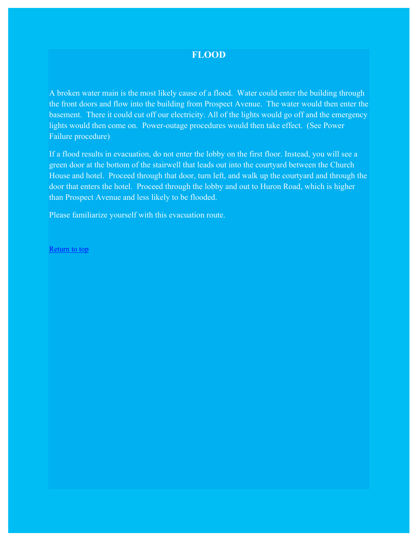#### **FLOOD**

A broken water main is the most likely cause of a flood. Water could enter the building through the front doors and flow into the building from Prospect Avenue. The water would then enter the basement. There it could cut off our electricity. All of the lights would go off and the emergency lights would then come on. Power-outage procedures would then take effect. (See Power Failure procedure)

If a flood results in evacuation, do not enter the lobby on the first floor. Instead, you will see a green door at the bottom of the stairwell that leads out into the courtyard between the Church House and hotel. Proceed through that door, turn left, and walk up the courtyard and through the door that enters the hotel. Proceed through the lobby and out to Huron Road, which is higher than Prospect Avenue and less likely to be flooded.

Please familiarize yourself with this evacuation route.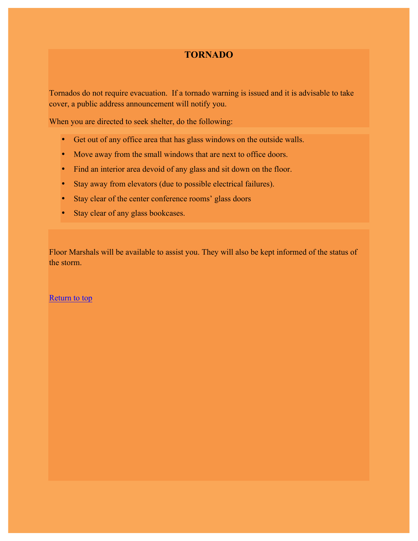### **TORNADO**

Tornados do not require evacuation. If a tornado warning is issued and it is advisable to take cover, a public address announcement will notify you.

When you are directed to seek shelter, do the following:

- Get out of any office area that has glass windows on the outside walls.
- Move away from the small windows that are next to office doors.
- Find an interior area devoid of any glass and sit down on the floor.
- Stay away from elevators (due to possible electrical failures).
- Stay clear of the center conference rooms' glass doors
- Stay clear of any glass bookcases.

Floor Marshals will be available to assist you. They will also be kept informed of the status of the storm.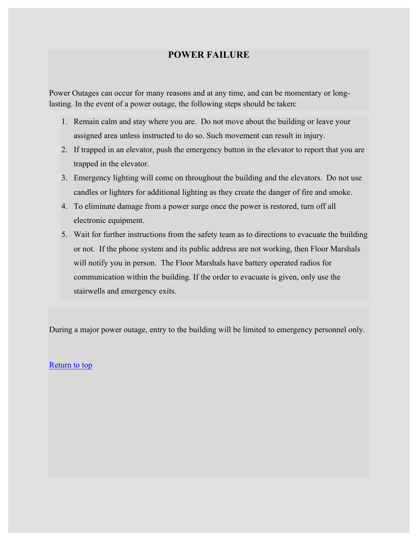### **POWER FAILURE**

Power Outages can occur for many reasons and at any time, and can be momentary or longlasting. In the event of a power outage, the following steps should be taken:

- 1. Remain calm and stay where you are. Do not move about the building or leave your assigned area unless instructed to do so. Such movement can result in injury.
- 2. If trapped in an elevator, push the emergency button in the elevator to report that you are trapped in the elevator.
- 3. Emergency lighting will come on throughout the building and the elevators. Do not use candles or lighters for additional lighting as they create the danger of fire and smoke.
- 4. To eliminate damage from a power surge once the power is restored, turn off all electronic equipment.
- 5. Wait for further instructions from the safety team as to directions to evacuate the building or not. If the phone system and its public address are not working, then Floor Marshals will notify you in person. The Floor Marshals have battery operated radios for communication within the building. If the order to evacuate is given, only use the stairwells and emergency exits.

During a major power outage, entry to the building will be limited to emergency personnel only.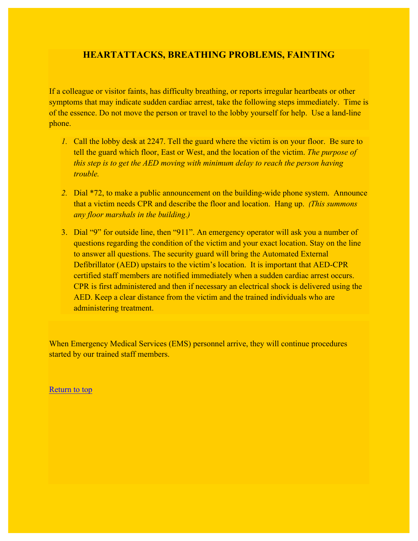### **HEARTATTACKS, BREATHING PROBLEMS, FAINTING**

If a colleague or visitor faints, has difficulty breathing, or reports irregular heartbeats or other symptoms that may indicate sudden cardiac arrest, take the following steps immediately. Time is of the essence. Do not move the person or travel to the lobby yourself for help. Use a land-line phone.

- *1.* Call the lobby desk at 2247. Tell the guard where the victim is on your floor. Be sure to tell the guard which floor, East or West, and the location of the victim. *The purpose of this step is to get the AED moving with minimum delay to reach the person having trouble.*
- *2.* Dial \*72, to make a public announcement on the building-wide phone system. Announce that a victim needs CPR and describe the floor and location. Hang up. *(This summons any floor marshals in the building.)*
- 3. Dial "9" for outside line, then "911". An emergency operator will ask you a number of questions regarding the condition of the victim and your exact location. Stay on the line to answer all questions. The security guard will bring the Automated External Defibrillator (AED) upstairs to the victim's location. It is important that AED-CPR certified staff members are notified immediately when a sudden cardiac arrest occurs. CPR is first administered and then if necessary an electrical shock is delivered using the AED. Keep a clear distance from the victim and the trained individuals who are administering treatment.

When Emergency Medical Services (EMS) personnel arrive, they will continue procedures started by our trained staff members.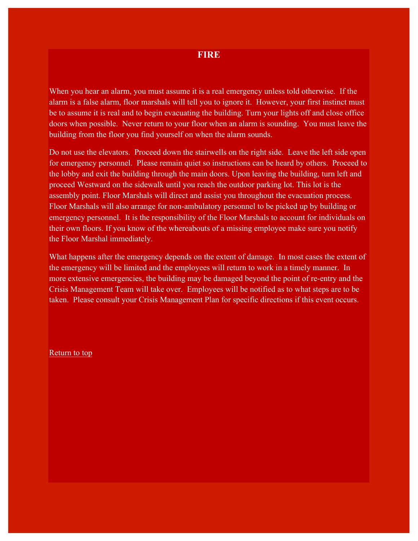When you hear an alarm, you must assume it is a real emergency unless told otherwise. If the alarm is a false alarm, floor marshals will tell you to ignore it. However, your first instinct must be to assume it is real and to begin evacuating the building. Turn your lights off and close office doors when possible. Never return to your floor when an alarm is sounding. You must leave the building from the floor you find yourself on when the alarm sounds.

Do not use the elevators. Proceed down the stairwells on the right side. Leave the left side open for emergency personnel. Please remain quiet so instructions can be heard by others. Proceed to the lobby and exit the building through the main doors. Upon leaving the building, turn left and proceed Westward on the sidewalk until you reach the outdoor parking lot. This lot is the assembly point. Floor Marshals will direct and assist you throughout the evacuation process. Floor Marshals will also arrange for non-ambulatory personnel to be picked up by building or emergency personnel. It is the responsibility of the Floor Marshals to account for individuals on their own floors. If you know of the whereabouts of a missing employee make sure you notify the Floor Marshal immediately.

What happens after the emergency depends on the extent of damage. In most cases the extent of the emergency will be limited and the employees will return to work in a timely manner. In more extensive emergencies, the building may be damaged beyond the point of re-entry and the Crisis Management Team will take over. Employees will be notified as to what steps are to be taken. Please consult your Crisis Management Plan for specific directions if this event occurs.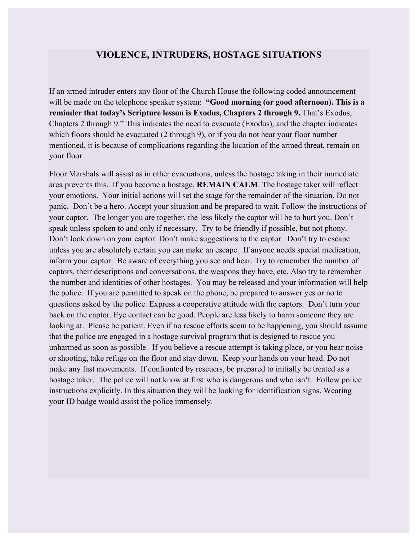#### **VIOLENCE, INTRUDERS, HOSTAGE SITUATIONS**

If an armed intruder enters any floor of the Church House the following coded announcement will be made on the telephone speaker system: "Good morning (or good afternoon). This is a **reminder that today's Scripture lesson is Exodus, Chapters 2 through 9.** That's Exodus, Chapters 2 through 9." This indicates the need to evacuate (Exodus), and the chapter indicates which floors should be evacuated (2 through 9), or if you do not hear your floor number mentioned, it is because of complications regarding the location of the armed threat, remain on your floor.

Floor Marshals will assist as in other evacuations, unless the hostage taking in their immediate area prevents this. If you become a hostage, **REMAIN CALM**. The hostage taker will reflect your emotions. Your initial actions will set the stage for the remainder of the situation. Do not panic. Don't be a hero. Accept your situation and be prepared to wait. Follow the instructions of your captor. The longer you are together, the less likely the captor will be to hurt you. Don't speak unless spoken to and only if necessary. Try to be friendly if possible, but not phony. Don't look down on your captor. Don't make suggestions to the captor. Don't try to escape unless you are absolutely certain you can make an escape. If anyone needs special medication, inform your captor. Be aware of everything you see and hear. Try to remember the number of captors, their descriptions and conversations, the weapons they have, etc. Also try to remember the number and identities of other hostages. You may be released and your information will help the police. If you are permitted to speak on the phone, be prepared to answer yes or no to questions asked by the police. Express a cooperative attitude with the captors. Don't turn your back on the captor. Eye contact can be good. People are less likely to harm someone they are looking at. Please be patient. Even if no rescue efforts seem to be happening, you should assume that the police are engaged in a hostage survival program that is designed to rescue you unharmed as soon as possible. If you believe a rescue attempt is taking place, or you hear noise or shooting, take refuge on the floor and stay down. Keep your hands on your head. Do not make any fast movements. If confronted by rescuers, be prepared to initially be treated as a hostage taker. The police will not know at first who is dangerous and who isn't. Follow police instructions explicitly. In this situation they will be looking for identification signs. Wearing your ID badge would assist the police immensely.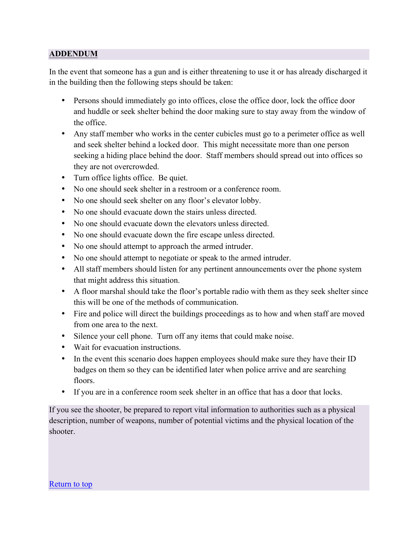#### **ADDENDUM**

In the event that someone has a gun and is either threatening to use it or has already discharged it in the building then the following steps should be taken:

- Persons should immediately go into offices, close the office door, lock the office door and huddle or seek shelter behind the door making sure to stay away from the window of the office.
- Any staff member who works in the center cubicles must go to a perimeter office as well and seek shelter behind a locked door. This might necessitate more than one person seeking a hiding place behind the door. Staff members should spread out into offices so they are not overcrowded.
- Turn office lights office. Be quiet.
- No one should seek shelter in a restroom or a conference room.
- No one should seek shelter on any floor's elevator lobby.
- No one should evacuate down the stairs unless directed.
- No one should evacuate down the elevators unless directed.
- No one should evacuate down the fire escape unless directed.
- No one should attempt to approach the armed intruder.
- No one should attempt to negotiate or speak to the armed intruder.
- All staff members should listen for any pertinent announcements over the phone system that might address this situation.
- A floor marshal should take the floor's portable radio with them as they seek shelter since this will be one of the methods of communication.
- Fire and police will direct the buildings proceedings as to how and when staff are moved from one area to the next.
- Silence your cell phone. Turn off any items that could make noise.
- Wait for evacuation instructions.
- In the event this scenario does happen employees should make sure they have their ID badges on them so they can be identified later when police arrive and are searching floors.
- If you are in a conference room seek shelter in an office that has a door that locks.

If you see the shooter, be prepared to report vital information to authorities such as a physical description, number of weapons, number of potential victims and the physical location of the shooter.